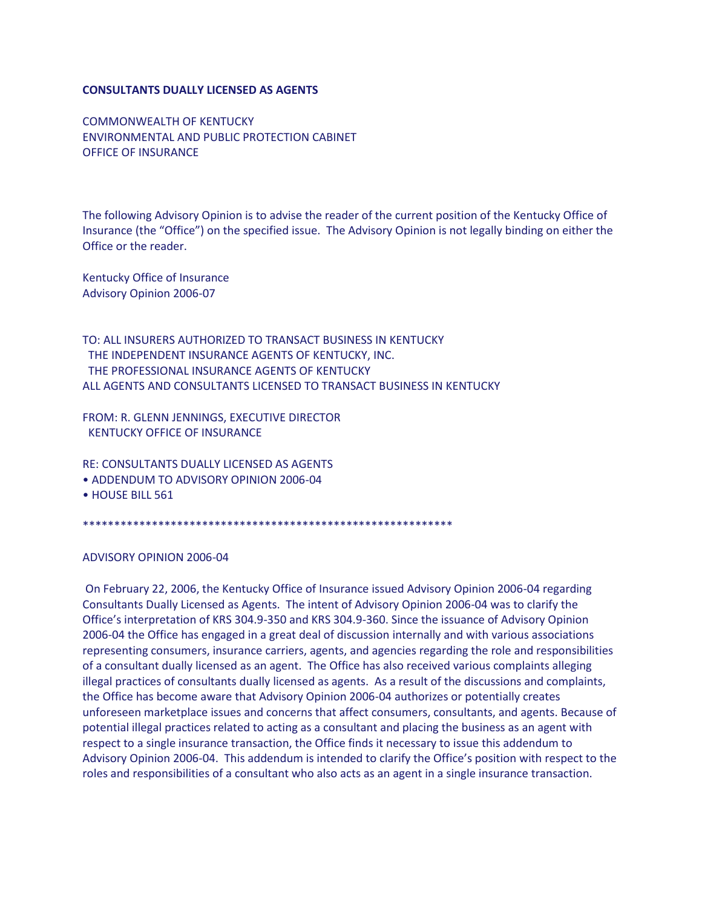## **CONSULTANTS DUALLY LICENSED AS AGENTS**

COMMONWEALTH OF KENTUCKY ENVIRONMENTAL AND PUBLIC PROTECTION CABINET OFFICE OF INSURANCE

The following Advisory Opinion is to advise the reader of the current position of the Kentucky Office of Insurance (the "Office") on the specified issue. The Advisory Opinion is not legally binding on either the Office or the reader.

Kentucky Office of Insurance Advisory Opinion 2006-07

TO: ALL INSURERS AUTHORIZED TO TRANSACT BUSINESS IN KENTUCKY THE INDEPENDENT INSURANCE AGENTS OF KENTUCKY, INC. THE PROFESSIONAL INSURANCE AGENTS OF KENTUCKY ALL AGENTS AND CONSULTANTS LICENSED TO TRANSACT BUSINESS IN KENTUCKY

FROM: R. GLENN JENNINGS, EXECUTIVE DIRECTOR KENTUCKY OFFICE OF INSURANCE

RE: CONSULTANTS DUALLY LICENSED AS AGENTS • ADDENDUM TO ADVISORY OPINION 2006-04

• HOUSE BILL 561

\*\*\*\*\*\*\*\*\*\*\*\*\*\*\*\*\*\*\*\*\*\*\*\*\*\*\*\*\*\*\*\*\*\*\*\*\*\*\*\*\*\*\*\*\*\*\*\*\*\*\*\*\*\*\*\*\*\*\*

ADVISORY OPINION 2006-04

On February 22, 2006, the Kentucky Office of Insurance issued Advisory Opinion 2006-04 regarding Consultants Dually Licensed as Agents. The intent of Advisory Opinion 2006-04 was to clarify the Office's interpretation of KRS 304.9-350 and KRS 304.9-360. Since the issuance of Advisory Opinion 2006-04 the Office has engaged in a great deal of discussion internally and with various associations representing consumers, insurance carriers, agents, and agencies regarding the role and responsibilities of a consultant dually licensed as an agent. The Office has also received various complaints alleging illegal practices of consultants dually licensed as agents. As a result of the discussions and complaints, the Office has become aware that Advisory Opinion 2006-04 authorizes or potentially creates unforeseen marketplace issues and concerns that affect consumers, consultants, and agents. Because of potential illegal practices related to acting as a consultant and placing the business as an agent with respect to a single insurance transaction, the Office finds it necessary to issue this addendum to Advisory Opinion 2006-04. This addendum is intended to clarify the Office's position with respect to the roles and responsibilities of a consultant who also acts as an agent in a single insurance transaction.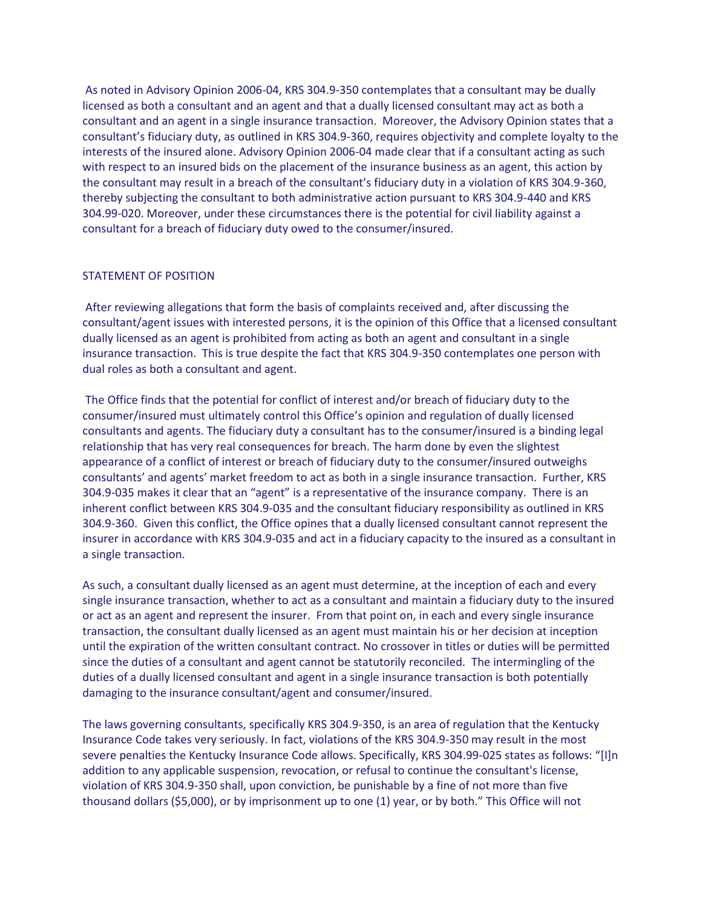As noted in Advisory Opinion 2006-04, KRS 304.9-350 contemplates that a consultant may be dually licensed as both a consultant and an agent and that a dually licensed consultant may act as both a consultant and an agent in a single insurance transaction. Moreover, the Advisory Opinion states that a consultant's fiduciary duty, as outlined in KRS 304.9-360, requires objectivity and complete loyalty to the interests of the insured alone. Advisory Opinion 2006-04 made clear that if a consultant acting as such with respect to an insured bids on the placement of the insurance business as an agent, this action by the consultant may result in a breach of the consultant's fiduciary duty in a violation of KRS 304.9-360, thereby subjecting the consultant to both administrative action pursuant to KRS 304.9-440 and KRS 304.99-020. Moreover, under these circumstances there is the potential for civil liability against a consultant for a breach of fiduciary duty owed to the consumer/insured.

## STATEMENT OF POSITION

After reviewing allegations that form the basis of complaints received and, after discussing the consultant/agent issues with interested persons, it is the opinion of this Office that a licensed consultant dually licensed as an agent is prohibited from acting as both an agent and consultant in a single insurance transaction. This is true despite the fact that KRS 304.9-350 contemplates one person with dual roles as both a consultant and agent.

The Office finds that the potential for conflict of interest and/or breach of fiduciary duty to the consumer/insured must ultimately control this Office's opinion and regulation of dually licensed consultants and agents. The fiduciary duty a consultant has to the consumer/insured is a binding legal relationship that has very real consequences for breach. The harm done by even the slightest appearance of a conflict of interest or breach of fiduciary duty to the consumer/insured outweighs consultants' and agents' market freedom to act as both in a single insurance transaction. Further, KRS 304.9-035 makes it clear that an "agent" is a representative of the insurance company. There is an inherent conflict between KRS 304.9-035 and the consultant fiduciary responsibility as outlined in KRS 304.9-360. Given this conflict, the Office opines that a dually licensed consultant cannot represent the insurer in accordance with KRS 304.9-035 and act in a fiduciary capacity to the insured as a consultant in a single transaction.

As such, a consultant dually licensed as an agent must determine, at the inception of each and every single insurance transaction, whether to act as a consultant and maintain a fiduciary duty to the insured or act as an agent and represent the insurer. From that point on, in each and every single insurance transaction, the consultant dually licensed as an agent must maintain his or her decision at inception until the expiration of the written consultant contract. No crossover in titles or duties will be permitted since the duties of a consultant and agent cannot be statutorily reconciled. The intermingling of the duties of a dually licensed consultant and agent in a single insurance transaction is both potentially damaging to the insurance consultant/agent and consumer/insured.

The laws governing consultants, specifically KRS 304.9-350, is an area of regulation that the Kentucky Insurance Code takes very seriously. In fact, violations of the KRS 304.9-350 may result in the most severe penalties the Kentucky Insurance Code allows. Specifically, KRS 304.99-025 states as follows: "[I]n addition to any applicable suspension, revocation, or refusal to continue the consultant's license, violation of KRS 304.9-350 shall, upon conviction, be punishable by a fine of not more than five thousand dollars (\$5,000), or by imprisonment up to one (1) year, or by both." This Office will not